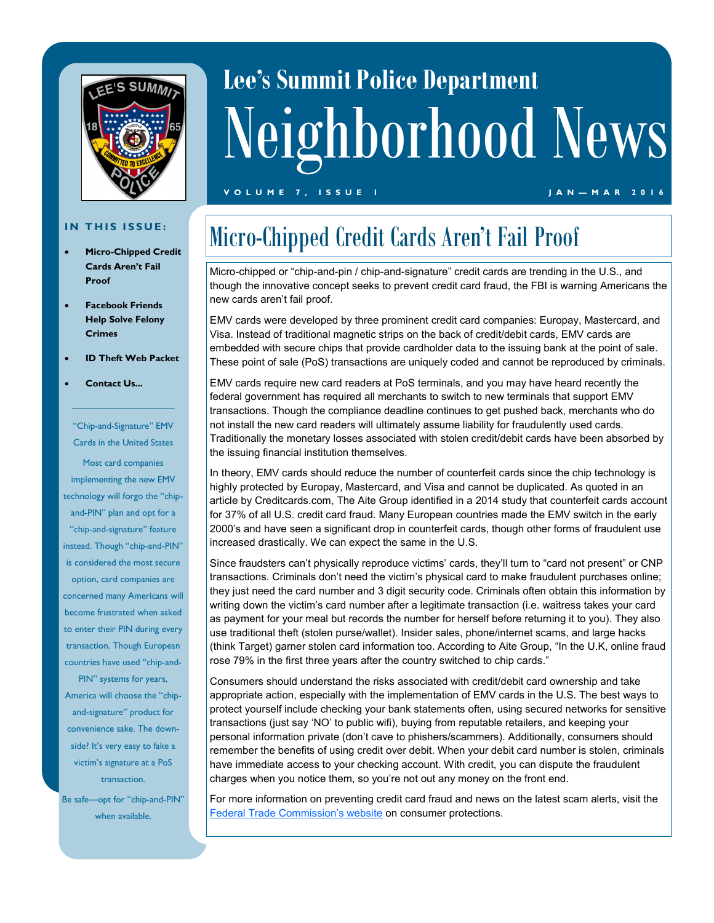

# **Lee's Summit Police Department** Neighborhood News

#### **V O L U M E 7 , I S S U E 1 J A N — M A R 2 0 1 6**

#### **IN THIS ISSUE:**

- **Micro-Chipped Credit Cards Aren't Fail Proof**
- **Facebook Friends Help Solve Felony Crimes**
- **ID Theft Web Packet**
- **Contact Us...**

"Chip-and-Signature" EMV Cards in the United States

———————————

Most card companies implementing the new EMV technology will forgo the "chipand-PIN" plan and opt for a "chip-and-signature" feature instead. Though "chip-and-PIN" is considered the most secure option, card companies are concerned many Americans will become frustrated when asked to enter their PIN during every transaction. Though European countries have used "chip-and-

PIN" systems for years, America will choose the "chipand-signature" product for convenience sake. The downside? It's very easy to fake a victim's signature at a PoS transaction.

Be safe—opt for "chip-and-PIN" when available.

# Micro-Chipped Credit Cards Aren't Fail Proof

Micro-chipped or "chip-and-pin / chip-and-signature" credit cards are trending in the U.S., and though the innovative concept seeks to prevent credit card fraud, the FBI is warning Americans the new cards aren't fail proof.

EMV cards were developed by three prominent credit card companies: Europay, Mastercard, and Visa. Instead of traditional magnetic strips on the back of credit/debit cards, EMV cards are embedded with secure chips that provide cardholder data to the issuing bank at the point of sale. These point of sale (PoS) transactions are uniquely coded and cannot be reproduced by criminals.

EMV cards require new card readers at PoS terminals, and you may have heard recently the federal government has required all merchants to switch to new terminals that support EMV transactions. Though the compliance deadline continues to get pushed back, merchants who do not install the new card readers will ultimately assume liability for fraudulently used cards. Traditionally the monetary losses associated with stolen credit/debit cards have been absorbed by the issuing financial institution themselves.

In theory, EMV cards should reduce the number of counterfeit cards since the chip technology is highly protected by Europay, Mastercard, and Visa and cannot be duplicated. As quoted in an article by Creditcards.com, The Aite Group identified in a 2014 study that counterfeit cards account for 37% of all U.S. credit card fraud. Many European countries made the EMV switch in the early 2000's and have seen a significant drop in counterfeit cards, though other forms of fraudulent use increased drastically. We can expect the same in the U.S.

Since fraudsters can't physically reproduce victims' cards, they'll turn to "card not present" or CNP transactions. Criminals don't need the victim's physical card to make fraudulent purchases online; they just need the card number and 3 digit security code. Criminals often obtain this information by writing down the victim's card number after a legitimate transaction (i.e. waitress takes your card as payment for your meal but records the number for herself before returning it to you). They also use traditional theft (stolen purse/wallet). Insider sales, phone/internet scams, and large hacks (think Target) garner stolen card information too. According to Aite Group, "In the U.K, online fraud rose 79% in the first three years after the country switched to chip cards."

Consumers should understand the risks associated with credit/debit card ownership and take appropriate action, especially with the implementation of EMV cards in the U.S. The best ways to protect yourself include checking your bank statements often, using secured networks for sensitive transactions (just say 'NO' to public wifi), buying from reputable retailers, and keeping your personal information private (don't cave to phishers/scammers). Additionally, consumers should remember the benefits of using credit over debit. When your debit card number is stolen, criminals have immediate access to your checking account. With credit, you can dispute the fraudulent charges when you notice them, so you're not out any money on the front end.

For more information on preventing credit card fraud and news on the latest scam alerts, visit the [Federal Trade Commission's website](http://www.consumer.ftc.gov/articles/0216-protecting-against-credit-card-fraud) on consumer protections.